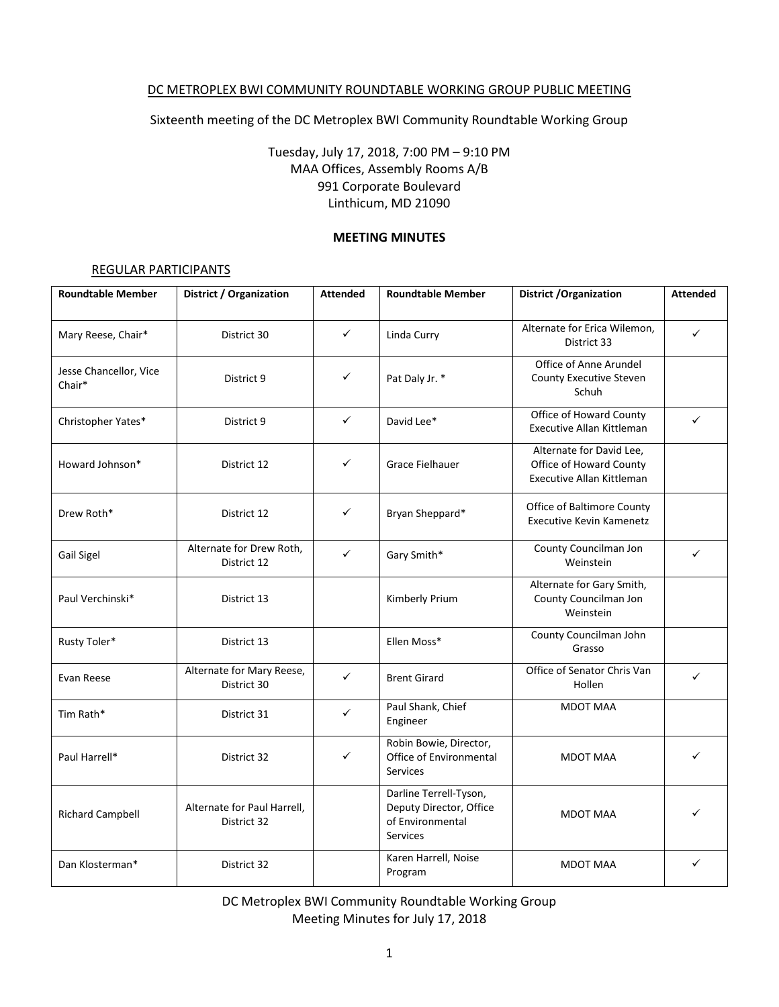## DC METROPLEX BWI COMMUNITY ROUNDTABLE WORKING GROUP PUBLIC MEETING

Sixteenth meeting of the DC Metroplex BWI Community Roundtable Working Group

Tuesday, July 17, 2018, 7:00 PM – 9:10 PM MAA Offices, Assembly Rooms A/B 991 Corporate Boulevard Linthicum, MD 21090

### **MEETING MINUTES**

### REGULAR PARTICIPANTS

| <b>Roundtable Member</b>         | <b>District / Organization</b>             | <b>Attended</b> | <b>Roundtable Member</b>                                                          | <b>District / Organization</b>                                                          | <b>Attended</b> |
|----------------------------------|--------------------------------------------|-----------------|-----------------------------------------------------------------------------------|-----------------------------------------------------------------------------------------|-----------------|
| Mary Reese, Chair*               | District 30                                | $\checkmark$    | Linda Curry                                                                       | Alternate for Erica Wilemon,<br>District 33                                             | $\checkmark$    |
| Jesse Chancellor, Vice<br>Chair* | District 9                                 | ✓               | Pat Daly Jr. *                                                                    | Office of Anne Arundel<br>County Executive Steven<br>Schuh                              |                 |
| Christopher Yates*               | District 9                                 | ✓               | David Lee*                                                                        | Office of Howard County<br>Executive Allan Kittleman                                    | ✓               |
| Howard Johnson*                  | District 12                                | ✓               | Grace Fielhauer                                                                   | Alternate for David Lee,<br>Office of Howard County<br><b>Executive Allan Kittleman</b> |                 |
| Drew Roth*                       | District 12                                | ✓               | Bryan Sheppard*                                                                   | <b>Office of Baltimore County</b><br><b>Executive Kevin Kamenetz</b>                    |                 |
| Gail Sigel                       | Alternate for Drew Roth,<br>District 12    | $\checkmark$    | Gary Smith*                                                                       | County Councilman Jon<br>Weinstein                                                      | $\checkmark$    |
| Paul Verchinski*                 | District 13                                |                 | Kimberly Prium                                                                    | Alternate for Gary Smith,<br>County Councilman Jon<br>Weinstein                         |                 |
| Rusty Toler*                     | District 13                                |                 | Ellen Moss*                                                                       | County Councilman John<br>Grasso                                                        |                 |
| Evan Reese                       | Alternate for Mary Reese,<br>District 30   | ✓               | <b>Brent Girard</b>                                                               | Office of Senator Chris Van<br>Hollen                                                   | $\checkmark$    |
| Tim Rath*                        | District 31                                | $\checkmark$    | Paul Shank, Chief<br>Engineer                                                     | <b>MDOT MAA</b>                                                                         |                 |
| Paul Harrell*                    | District 32                                | ✓               | Robin Bowie, Director,<br>Office of Environmental<br><b>Services</b>              | <b>MDOT MAA</b>                                                                         |                 |
| <b>Richard Campbell</b>          | Alternate for Paul Harrell,<br>District 32 |                 | Darline Terrell-Tyson,<br>Deputy Director, Office<br>of Environmental<br>Services | <b>MDOT MAA</b>                                                                         |                 |
| Dan Klosterman*                  | District 32                                |                 | Karen Harrell, Noise<br>Program                                                   | <b>MDOT MAA</b>                                                                         | ✓               |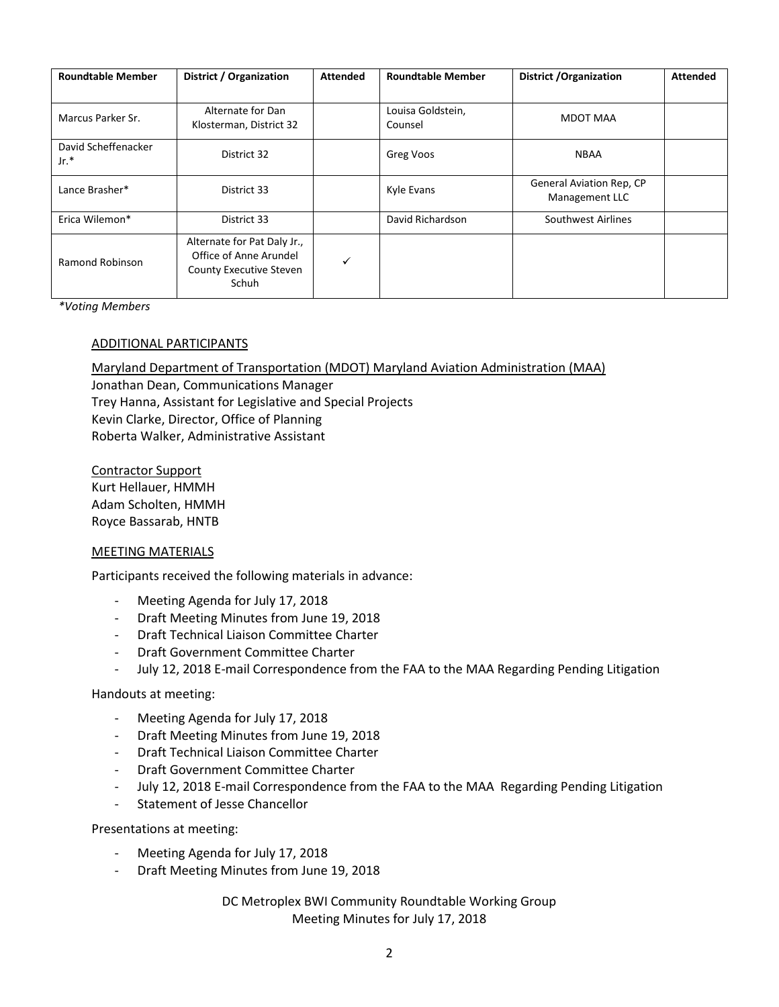| <b>Roundtable Member</b>      | District / Organization                                                                          | <b>Attended</b> | <b>Roundtable Member</b>     | <b>District / Organization</b>             | <b>Attended</b> |
|-------------------------------|--------------------------------------------------------------------------------------------------|-----------------|------------------------------|--------------------------------------------|-----------------|
|                               |                                                                                                  |                 |                              |                                            |                 |
| Marcus Parker Sr.             | Alternate for Dan<br>Klosterman, District 32                                                     |                 | Louisa Goldstein,<br>Counsel | MDOT MAA                                   |                 |
| David Scheffenacker<br>$Jr.*$ | District 32                                                                                      |                 | Greg Voos                    | <b>NBAA</b>                                |                 |
| Lance Brasher*                | District 33                                                                                      |                 | Kyle Evans                   | General Aviation Rep, CP<br>Management LLC |                 |
| Erica Wilemon*                | District 33                                                                                      |                 | David Richardson             | Southwest Airlines                         |                 |
| Ramond Robinson               | Alternate for Pat Daly Jr.,<br>Office of Anne Arundel<br><b>County Executive Steven</b><br>Schuh | $\checkmark$    |                              |                                            |                 |

*\*Voting Members*

#### ADDITIONAL PARTICIPANTS

#### Maryland Department of Transportation (MDOT) Maryland Aviation Administration (MAA)

Jonathan Dean, Communications Manager Trey Hanna, Assistant for Legislative and Special Projects Kevin Clarke, Director, Office of Planning Roberta Walker, Administrative Assistant

Contractor Support Kurt Hellauer, HMMH Adam Scholten, HMMH Royce Bassarab, HNTB

#### MEETING MATERIALS

Participants received the following materials in advance:

- Meeting Agenda for July 17, 2018
- Draft Meeting Minutes from June 19, 2018
- Draft Technical Liaison Committee Charter
- Draft Government Committee Charter
- July 12, 2018 E-mail Correspondence from the FAA to the MAA Regarding Pending Litigation

#### Handouts at meeting:

- Meeting Agenda for July 17, 2018
- Draft Meeting Minutes from June 19, 2018
- Draft Technical Liaison Committee Charter
- Draft Government Committee Charter
- July 12, 2018 E-mail Correspondence from the FAA to the MAA Regarding Pending Litigation
- Statement of Jesse Chancellor

Presentations at meeting:

- Meeting Agenda for July 17, 2018
- Draft Meeting Minutes from June 19, 2018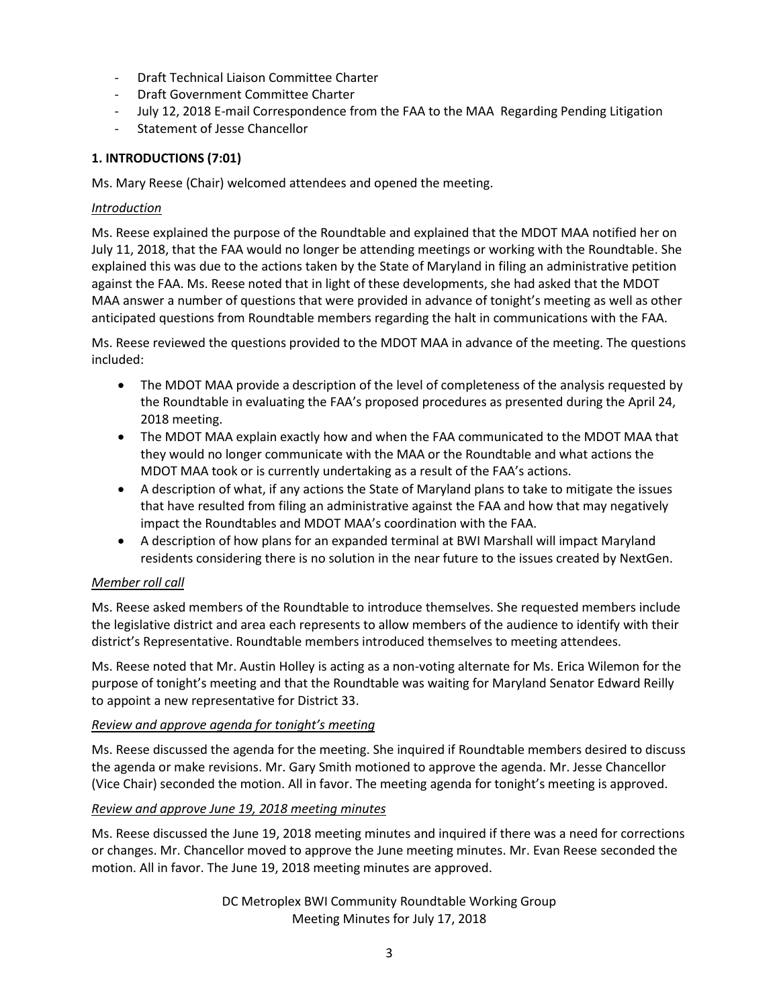- Draft Technical Liaison Committee Charter
- Draft Government Committee Charter
- July 12, 2018 E-mail Correspondence from the FAA to the MAA Regarding Pending Litigation
- Statement of Jesse Chancellor

# **1. INTRODUCTIONS (7:01)**

Ms. Mary Reese (Chair) welcomed attendees and opened the meeting.

## *Introduction*

Ms. Reese explained the purpose of the Roundtable and explained that the MDOT MAA notified her on July 11, 2018, that the FAA would no longer be attending meetings or working with the Roundtable. She explained this was due to the actions taken by the State of Maryland in filing an administrative petition against the FAA. Ms. Reese noted that in light of these developments, she had asked that the MDOT MAA answer a number of questions that were provided in advance of tonight's meeting as well as other anticipated questions from Roundtable members regarding the halt in communications with the FAA.

Ms. Reese reviewed the questions provided to the MDOT MAA in advance of the meeting. The questions included:

- The MDOT MAA provide a description of the level of completeness of the analysis requested by the Roundtable in evaluating the FAA's proposed procedures as presented during the April 24, 2018 meeting.
- The MDOT MAA explain exactly how and when the FAA communicated to the MDOT MAA that they would no longer communicate with the MAA or the Roundtable and what actions the MDOT MAA took or is currently undertaking as a result of the FAA's actions.
- A description of what, if any actions the State of Maryland plans to take to mitigate the issues that have resulted from filing an administrative against the FAA and how that may negatively impact the Roundtables and MDOT MAA's coordination with the FAA.
- A description of how plans for an expanded terminal at BWI Marshall will impact Maryland residents considering there is no solution in the near future to the issues created by NextGen.

# *Member roll call*

Ms. Reese asked members of the Roundtable to introduce themselves. She requested members include the legislative district and area each represents to allow members of the audience to identify with their district's Representative. Roundtable members introduced themselves to meeting attendees.

Ms. Reese noted that Mr. Austin Holley is acting as a non-voting alternate for Ms. Erica Wilemon for the purpose of tonight's meeting and that the Roundtable was waiting for Maryland Senator Edward Reilly to appoint a new representative for District 33.

# *Review and approve agenda for tonight's meeting*

Ms. Reese discussed the agenda for the meeting. She inquired if Roundtable members desired to discuss the agenda or make revisions. Mr. Gary Smith motioned to approve the agenda. Mr. Jesse Chancellor (Vice Chair) seconded the motion. All in favor. The meeting agenda for tonight's meeting is approved.

# *Review and approve June 19, 2018 meeting minutes*

Ms. Reese discussed the June 19, 2018 meeting minutes and inquired if there was a need for corrections or changes. Mr. Chancellor moved to approve the June meeting minutes. Mr. Evan Reese seconded the motion. All in favor. The June 19, 2018 meeting minutes are approved.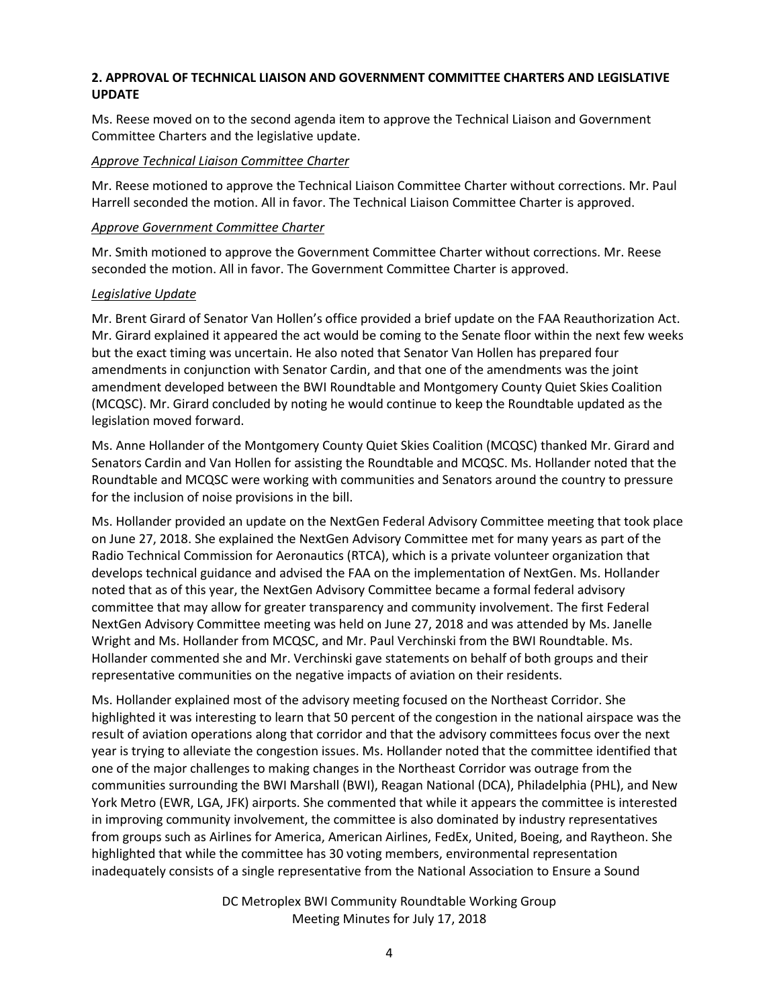# **2. APPROVAL OF TECHNICAL LIAISON AND GOVERNMENT COMMITTEE CHARTERS AND LEGISLATIVE UPDATE**

Ms. Reese moved on to the second agenda item to approve the Technical Liaison and Government Committee Charters and the legislative update.

### *Approve Technical Liaison Committee Charter*

Mr. Reese motioned to approve the Technical Liaison Committee Charter without corrections. Mr. Paul Harrell seconded the motion. All in favor. The Technical Liaison Committee Charter is approved.

### *Approve Government Committee Charter*

Mr. Smith motioned to approve the Government Committee Charter without corrections. Mr. Reese seconded the motion. All in favor. The Government Committee Charter is approved.

### *Legislative Update*

Mr. Brent Girard of Senator Van Hollen's office provided a brief update on the FAA Reauthorization Act. Mr. Girard explained it appeared the act would be coming to the Senate floor within the next few weeks but the exact timing was uncertain. He also noted that Senator Van Hollen has prepared four amendments in conjunction with Senator Cardin, and that one of the amendments was the joint amendment developed between the BWI Roundtable and Montgomery County Quiet Skies Coalition (MCQSC). Mr. Girard concluded by noting he would continue to keep the Roundtable updated as the legislation moved forward.

Ms. Anne Hollander of the Montgomery County Quiet Skies Coalition (MCQSC) thanked Mr. Girard and Senators Cardin and Van Hollen for assisting the Roundtable and MCQSC. Ms. Hollander noted that the Roundtable and MCQSC were working with communities and Senators around the country to pressure for the inclusion of noise provisions in the bill.

Ms. Hollander provided an update on the NextGen Federal Advisory Committee meeting that took place on June 27, 2018. She explained the NextGen Advisory Committee met for many years as part of the Radio Technical Commission for Aeronautics (RTCA), which is a private volunteer organization that develops technical guidance and advised the FAA on the implementation of NextGen. Ms. Hollander noted that as of this year, the NextGen Advisory Committee became a formal federal advisory committee that may allow for greater transparency and community involvement. The first Federal NextGen Advisory Committee meeting was held on June 27, 2018 and was attended by Ms. Janelle Wright and Ms. Hollander from MCQSC, and Mr. Paul Verchinski from the BWI Roundtable. Ms. Hollander commented she and Mr. Verchinski gave statements on behalf of both groups and their representative communities on the negative impacts of aviation on their residents.

Ms. Hollander explained most of the advisory meeting focused on the Northeast Corridor. She highlighted it was interesting to learn that 50 percent of the congestion in the national airspace was the result of aviation operations along that corridor and that the advisory committees focus over the next year is trying to alleviate the congestion issues. Ms. Hollander noted that the committee identified that one of the major challenges to making changes in the Northeast Corridor was outrage from the communities surrounding the BWI Marshall (BWI), Reagan National (DCA), Philadelphia (PHL), and New York Metro (EWR, LGA, JFK) airports. She commented that while it appears the committee is interested in improving community involvement, the committee is also dominated by industry representatives from groups such as Airlines for America, American Airlines, FedEx, United, Boeing, and Raytheon. She highlighted that while the committee has 30 voting members, environmental representation inadequately consists of a single representative from the National Association to Ensure a Sound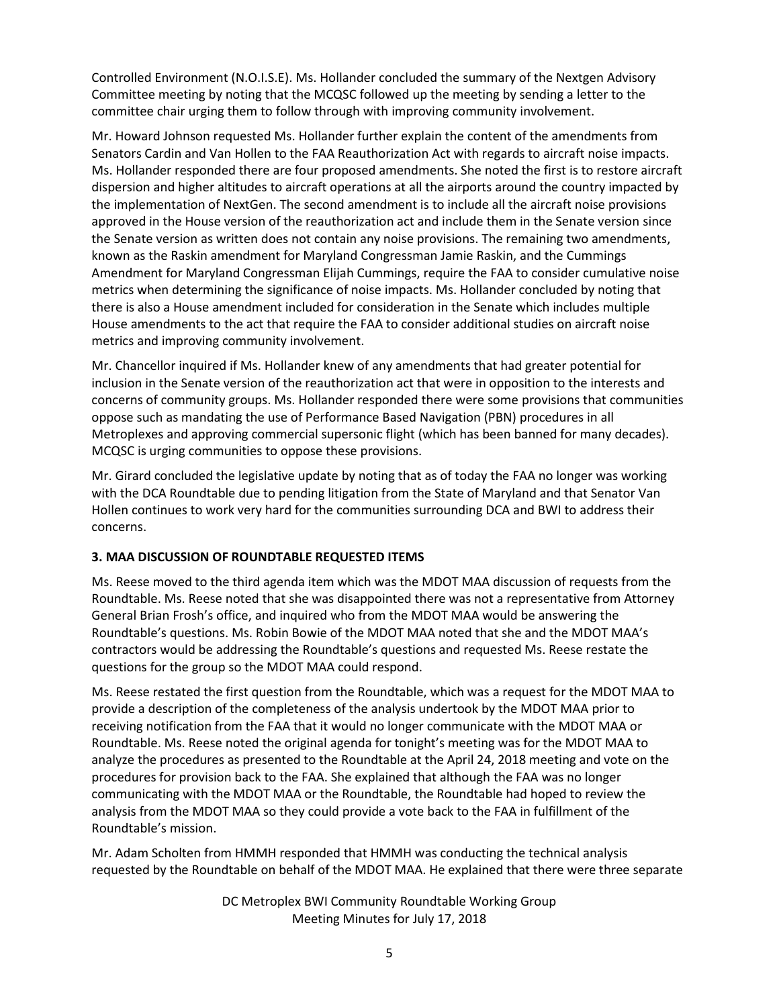Controlled Environment (N.O.I.S.E). Ms. Hollander concluded the summary of the Nextgen Advisory Committee meeting by noting that the MCQSC followed up the meeting by sending a letter to the committee chair urging them to follow through with improving community involvement.

Mr. Howard Johnson requested Ms. Hollander further explain the content of the amendments from Senators Cardin and Van Hollen to the FAA Reauthorization Act with regards to aircraft noise impacts. Ms. Hollander responded there are four proposed amendments. She noted the first is to restore aircraft dispersion and higher altitudes to aircraft operations at all the airports around the country impacted by the implementation of NextGen. The second amendment is to include all the aircraft noise provisions approved in the House version of the reauthorization act and include them in the Senate version since the Senate version as written does not contain any noise provisions. The remaining two amendments, known as the Raskin amendment for Maryland Congressman Jamie Raskin, and the Cummings Amendment for Maryland Congressman Elijah Cummings, require the FAA to consider cumulative noise metrics when determining the significance of noise impacts. Ms. Hollander concluded by noting that there is also a House amendment included for consideration in the Senate which includes multiple House amendments to the act that require the FAA to consider additional studies on aircraft noise metrics and improving community involvement.

Mr. Chancellor inquired if Ms. Hollander knew of any amendments that had greater potential for inclusion in the Senate version of the reauthorization act that were in opposition to the interests and concerns of community groups. Ms. Hollander responded there were some provisions that communities oppose such as mandating the use of Performance Based Navigation (PBN) procedures in all Metroplexes and approving commercial supersonic flight (which has been banned for many decades). MCQSC is urging communities to oppose these provisions.

Mr. Girard concluded the legislative update by noting that as of today the FAA no longer was working with the DCA Roundtable due to pending litigation from the State of Maryland and that Senator Van Hollen continues to work very hard for the communities surrounding DCA and BWI to address their concerns.

## **3. MAA DISCUSSION OF ROUNDTABLE REQUESTED ITEMS**

Ms. Reese moved to the third agenda item which was the MDOT MAA discussion of requests from the Roundtable. Ms. Reese noted that she was disappointed there was not a representative from Attorney General Brian Frosh's office, and inquired who from the MDOT MAA would be answering the Roundtable's questions. Ms. Robin Bowie of the MDOT MAA noted that she and the MDOT MAA's contractors would be addressing the Roundtable's questions and requested Ms. Reese restate the questions for the group so the MDOT MAA could respond.

Ms. Reese restated the first question from the Roundtable, which was a request for the MDOT MAA to provide a description of the completeness of the analysis undertook by the MDOT MAA prior to receiving notification from the FAA that it would no longer communicate with the MDOT MAA or Roundtable. Ms. Reese noted the original agenda for tonight's meeting was for the MDOT MAA to analyze the procedures as presented to the Roundtable at the April 24, 2018 meeting and vote on the procedures for provision back to the FAA. She explained that although the FAA was no longer communicating with the MDOT MAA or the Roundtable, the Roundtable had hoped to review the analysis from the MDOT MAA so they could provide a vote back to the FAA in fulfillment of the Roundtable's mission.

Mr. Adam Scholten from HMMH responded that HMMH was conducting the technical analysis requested by the Roundtable on behalf of the MDOT MAA. He explained that there were three separate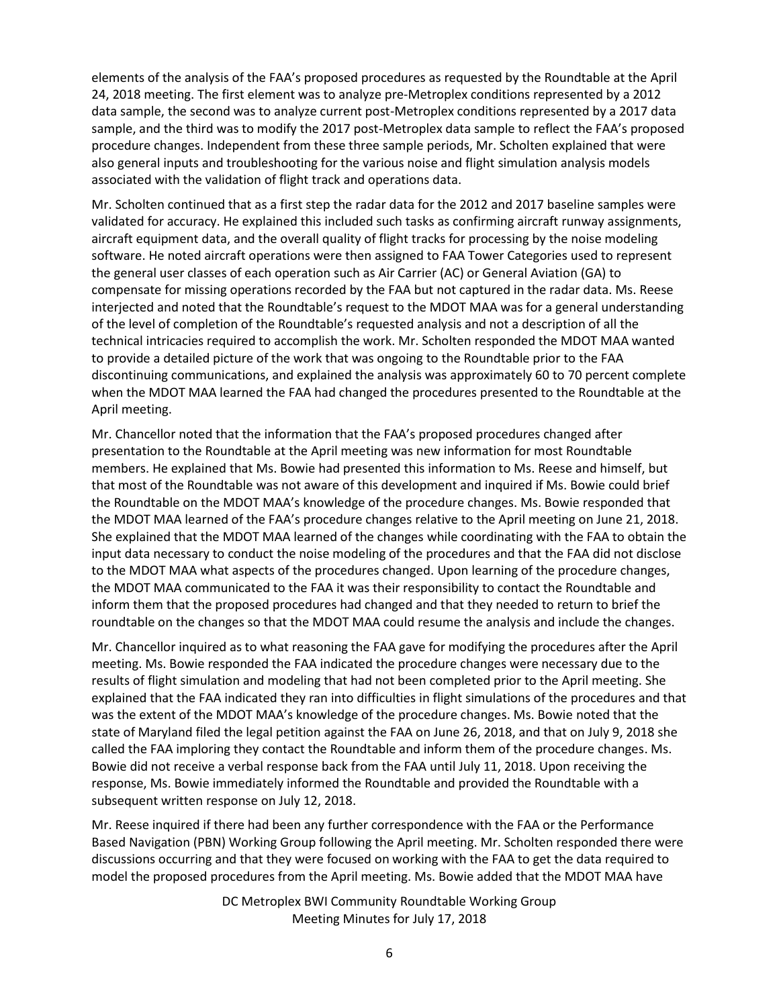elements of the analysis of the FAA's proposed procedures as requested by the Roundtable at the April 24, 2018 meeting. The first element was to analyze pre-Metroplex conditions represented by a 2012 data sample, the second was to analyze current post-Metroplex conditions represented by a 2017 data sample, and the third was to modify the 2017 post-Metroplex data sample to reflect the FAA's proposed procedure changes. Independent from these three sample periods, Mr. Scholten explained that were also general inputs and troubleshooting for the various noise and flight simulation analysis models associated with the validation of flight track and operations data.

Mr. Scholten continued that as a first step the radar data for the 2012 and 2017 baseline samples were validated for accuracy. He explained this included such tasks as confirming aircraft runway assignments, aircraft equipment data, and the overall quality of flight tracks for processing by the noise modeling software. He noted aircraft operations were then assigned to FAA Tower Categories used to represent the general user classes of each operation such as Air Carrier (AC) or General Aviation (GA) to compensate for missing operations recorded by the FAA but not captured in the radar data. Ms. Reese interjected and noted that the Roundtable's request to the MDOT MAA was for a general understanding of the level of completion of the Roundtable's requested analysis and not a description of all the technical intricacies required to accomplish the work. Mr. Scholten responded the MDOT MAA wanted to provide a detailed picture of the work that was ongoing to the Roundtable prior to the FAA discontinuing communications, and explained the analysis was approximately 60 to 70 percent complete when the MDOT MAA learned the FAA had changed the procedures presented to the Roundtable at the April meeting.

Mr. Chancellor noted that the information that the FAA's proposed procedures changed after presentation to the Roundtable at the April meeting was new information for most Roundtable members. He explained that Ms. Bowie had presented this information to Ms. Reese and himself, but that most of the Roundtable was not aware of this development and inquired if Ms. Bowie could brief the Roundtable on the MDOT MAA's knowledge of the procedure changes. Ms. Bowie responded that the MDOT MAA learned of the FAA's procedure changes relative to the April meeting on June 21, 2018. She explained that the MDOT MAA learned of the changes while coordinating with the FAA to obtain the input data necessary to conduct the noise modeling of the procedures and that the FAA did not disclose to the MDOT MAA what aspects of the procedures changed. Upon learning of the procedure changes, the MDOT MAA communicated to the FAA it was their responsibility to contact the Roundtable and inform them that the proposed procedures had changed and that they needed to return to brief the roundtable on the changes so that the MDOT MAA could resume the analysis and include the changes.

Mr. Chancellor inquired as to what reasoning the FAA gave for modifying the procedures after the April meeting. Ms. Bowie responded the FAA indicated the procedure changes were necessary due to the results of flight simulation and modeling that had not been completed prior to the April meeting. She explained that the FAA indicated they ran into difficulties in flight simulations of the procedures and that was the extent of the MDOT MAA's knowledge of the procedure changes. Ms. Bowie noted that the state of Maryland filed the legal petition against the FAA on June 26, 2018, and that on July 9, 2018 she called the FAA imploring they contact the Roundtable and inform them of the procedure changes. Ms. Bowie did not receive a verbal response back from the FAA until July 11, 2018. Upon receiving the response, Ms. Bowie immediately informed the Roundtable and provided the Roundtable with a subsequent written response on July 12, 2018.

Mr. Reese inquired if there had been any further correspondence with the FAA or the Performance Based Navigation (PBN) Working Group following the April meeting. Mr. Scholten responded there were discussions occurring and that they were focused on working with the FAA to get the data required to model the proposed procedures from the April meeting. Ms. Bowie added that the MDOT MAA have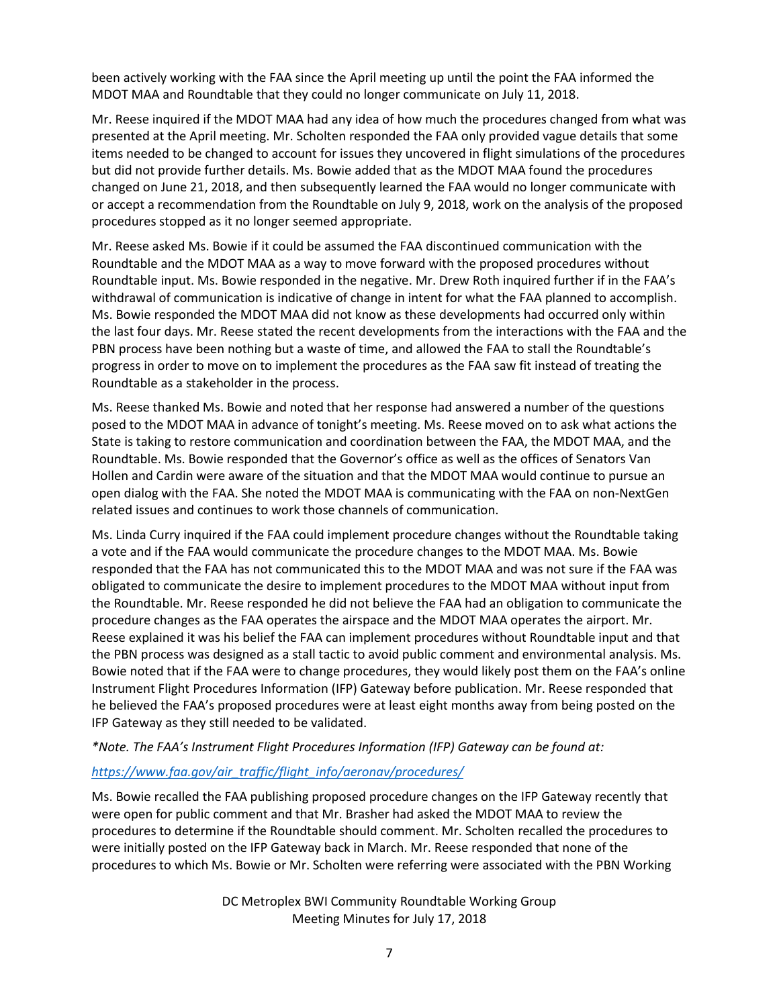been actively working with the FAA since the April meeting up until the point the FAA informed the MDOT MAA and Roundtable that they could no longer communicate on July 11, 2018.

Mr. Reese inquired if the MDOT MAA had any idea of how much the procedures changed from what was presented at the April meeting. Mr. Scholten responded the FAA only provided vague details that some items needed to be changed to account for issues they uncovered in flight simulations of the procedures but did not provide further details. Ms. Bowie added that as the MDOT MAA found the procedures changed on June 21, 2018, and then subsequently learned the FAA would no longer communicate with or accept a recommendation from the Roundtable on July 9, 2018, work on the analysis of the proposed procedures stopped as it no longer seemed appropriate.

Mr. Reese asked Ms. Bowie if it could be assumed the FAA discontinued communication with the Roundtable and the MDOT MAA as a way to move forward with the proposed procedures without Roundtable input. Ms. Bowie responded in the negative. Mr. Drew Roth inquired further if in the FAA's withdrawal of communication is indicative of change in intent for what the FAA planned to accomplish. Ms. Bowie responded the MDOT MAA did not know as these developments had occurred only within the last four days. Mr. Reese stated the recent developments from the interactions with the FAA and the PBN process have been nothing but a waste of time, and allowed the FAA to stall the Roundtable's progress in order to move on to implement the procedures as the FAA saw fit instead of treating the Roundtable as a stakeholder in the process.

Ms. Reese thanked Ms. Bowie and noted that her response had answered a number of the questions posed to the MDOT MAA in advance of tonight's meeting. Ms. Reese moved on to ask what actions the State is taking to restore communication and coordination between the FAA, the MDOT MAA, and the Roundtable. Ms. Bowie responded that the Governor's office as well as the offices of Senators Van Hollen and Cardin were aware of the situation and that the MDOT MAA would continue to pursue an open dialog with the FAA. She noted the MDOT MAA is communicating with the FAA on non-NextGen related issues and continues to work those channels of communication.

Ms. Linda Curry inquired if the FAA could implement procedure changes without the Roundtable taking a vote and if the FAA would communicate the procedure changes to the MDOT MAA. Ms. Bowie responded that the FAA has not communicated this to the MDOT MAA and was not sure if the FAA was obligated to communicate the desire to implement procedures to the MDOT MAA without input from the Roundtable. Mr. Reese responded he did not believe the FAA had an obligation to communicate the procedure changes as the FAA operates the airspace and the MDOT MAA operates the airport. Mr. Reese explained it was his belief the FAA can implement procedures without Roundtable input and that the PBN process was designed as a stall tactic to avoid public comment and environmental analysis. Ms. Bowie noted that if the FAA were to change procedures, they would likely post them on the FAA's online Instrument Flight Procedures Information (IFP) Gateway before publication. Mr. Reese responded that he believed the FAA's proposed procedures were at least eight months away from being posted on the IFP Gateway as they still needed to be validated.

## *\*Note. The FAA's Instrument Flight Procedures Information (IFP) Gateway can be found at:*

## *[https://www.faa.gov/air\\_traffic/flight\\_info/aeronav/procedures/](https://www.faa.gov/air_traffic/flight_info/aeronav/procedures/)*

Ms. Bowie recalled the FAA publishing proposed procedure changes on the IFP Gateway recently that were open for public comment and that Mr. Brasher had asked the MDOT MAA to review the procedures to determine if the Roundtable should comment. Mr. Scholten recalled the procedures to were initially posted on the IFP Gateway back in March. Mr. Reese responded that none of the procedures to which Ms. Bowie or Mr. Scholten were referring were associated with the PBN Working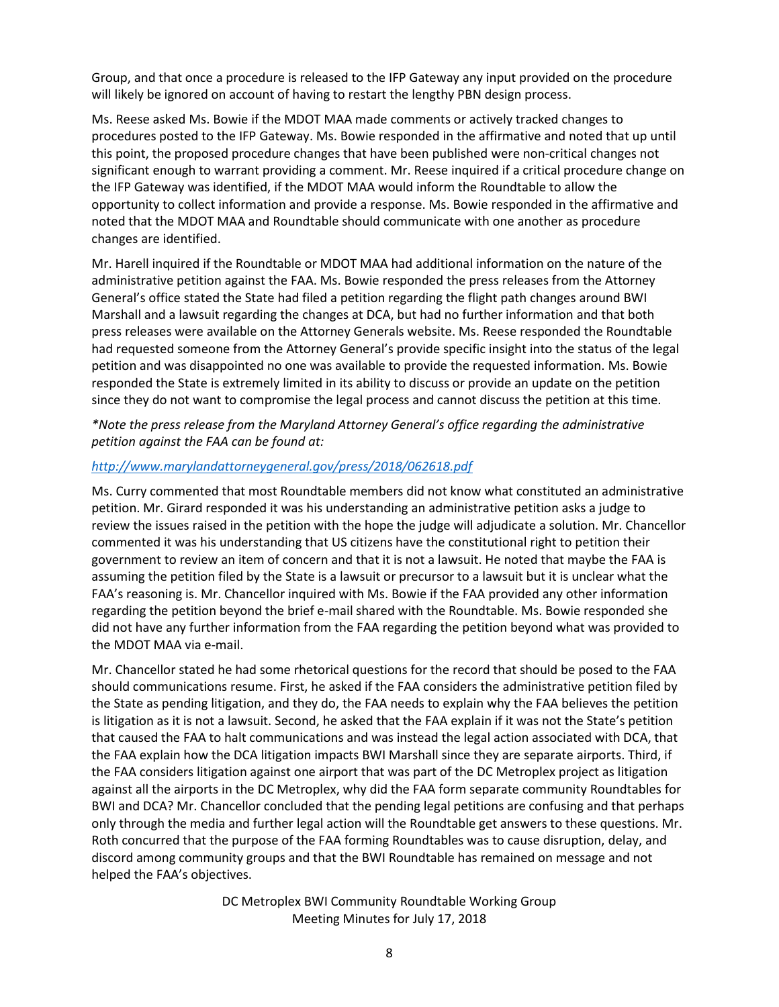Group, and that once a procedure is released to the IFP Gateway any input provided on the procedure will likely be ignored on account of having to restart the lengthy PBN design process.

Ms. Reese asked Ms. Bowie if the MDOT MAA made comments or actively tracked changes to procedures posted to the IFP Gateway. Ms. Bowie responded in the affirmative and noted that up until this point, the proposed procedure changes that have been published were non-critical changes not significant enough to warrant providing a comment. Mr. Reese inquired if a critical procedure change on the IFP Gateway was identified, if the MDOT MAA would inform the Roundtable to allow the opportunity to collect information and provide a response. Ms. Bowie responded in the affirmative and noted that the MDOT MAA and Roundtable should communicate with one another as procedure changes are identified.

Mr. Harell inquired if the Roundtable or MDOT MAA had additional information on the nature of the administrative petition against the FAA. Ms. Bowie responded the press releases from the Attorney General's office stated the State had filed a petition regarding the flight path changes around BWI Marshall and a lawsuit regarding the changes at DCA, but had no further information and that both press releases were available on the Attorney Generals website. Ms. Reese responded the Roundtable had requested someone from the Attorney General's provide specific insight into the status of the legal petition and was disappointed no one was available to provide the requested information. Ms. Bowie responded the State is extremely limited in its ability to discuss or provide an update on the petition since they do not want to compromise the legal process and cannot discuss the petition at this time.

*\*Note the press release from the Maryland Attorney General's office regarding the administrative petition against the FAA can be found at:* 

## *<http://www.marylandattorneygeneral.gov/press/2018/062618.pdf>*

Ms. Curry commented that most Roundtable members did not know what constituted an administrative petition. Mr. Girard responded it was his understanding an administrative petition asks a judge to review the issues raised in the petition with the hope the judge will adjudicate a solution. Mr. Chancellor commented it was his understanding that US citizens have the constitutional right to petition their government to review an item of concern and that it is not a lawsuit. He noted that maybe the FAA is assuming the petition filed by the State is a lawsuit or precursor to a lawsuit but it is unclear what the FAA's reasoning is. Mr. Chancellor inquired with Ms. Bowie if the FAA provided any other information regarding the petition beyond the brief e-mail shared with the Roundtable. Ms. Bowie responded she did not have any further information from the FAA regarding the petition beyond what was provided to the MDOT MAA via e-mail.

Mr. Chancellor stated he had some rhetorical questions for the record that should be posed to the FAA should communications resume. First, he asked if the FAA considers the administrative petition filed by the State as pending litigation, and they do, the FAA needs to explain why the FAA believes the petition is litigation as it is not a lawsuit. Second, he asked that the FAA explain if it was not the State's petition that caused the FAA to halt communications and was instead the legal action associated with DCA, that the FAA explain how the DCA litigation impacts BWI Marshall since they are separate airports. Third, if the FAA considers litigation against one airport that was part of the DC Metroplex project as litigation against all the airports in the DC Metroplex, why did the FAA form separate community Roundtables for BWI and DCA? Mr. Chancellor concluded that the pending legal petitions are confusing and that perhaps only through the media and further legal action will the Roundtable get answers to these questions. Mr. Roth concurred that the purpose of the FAA forming Roundtables was to cause disruption, delay, and discord among community groups and that the BWI Roundtable has remained on message and not helped the FAA's objectives.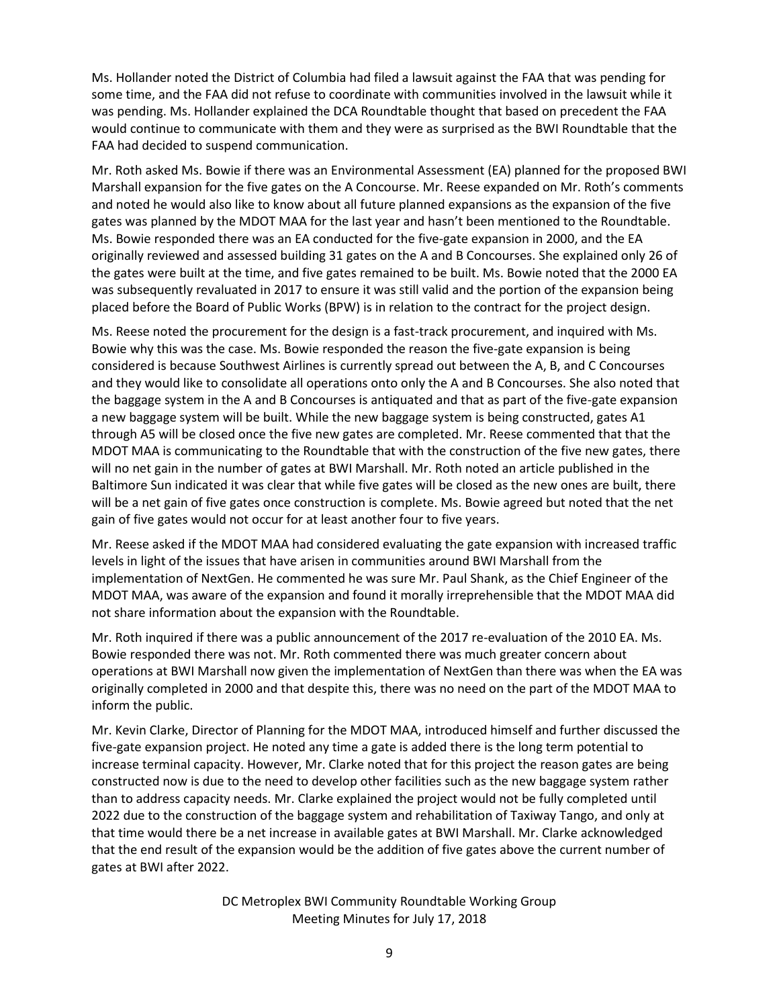Ms. Hollander noted the District of Columbia had filed a lawsuit against the FAA that was pending for some time, and the FAA did not refuse to coordinate with communities involved in the lawsuit while it was pending. Ms. Hollander explained the DCA Roundtable thought that based on precedent the FAA would continue to communicate with them and they were as surprised as the BWI Roundtable that the FAA had decided to suspend communication.

Mr. Roth asked Ms. Bowie if there was an Environmental Assessment (EA) planned for the proposed BWI Marshall expansion for the five gates on the A Concourse. Mr. Reese expanded on Mr. Roth's comments and noted he would also like to know about all future planned expansions as the expansion of the five gates was planned by the MDOT MAA for the last year and hasn't been mentioned to the Roundtable. Ms. Bowie responded there was an EA conducted for the five-gate expansion in 2000, and the EA originally reviewed and assessed building 31 gates on the A and B Concourses. She explained only 26 of the gates were built at the time, and five gates remained to be built. Ms. Bowie noted that the 2000 EA was subsequently revaluated in 2017 to ensure it was still valid and the portion of the expansion being placed before the Board of Public Works (BPW) is in relation to the contract for the project design.

Ms. Reese noted the procurement for the design is a fast-track procurement, and inquired with Ms. Bowie why this was the case. Ms. Bowie responded the reason the five-gate expansion is being considered is because Southwest Airlines is currently spread out between the A, B, and C Concourses and they would like to consolidate all operations onto only the A and B Concourses. She also noted that the baggage system in the A and B Concourses is antiquated and that as part of the five-gate expansion a new baggage system will be built. While the new baggage system is being constructed, gates A1 through A5 will be closed once the five new gates are completed. Mr. Reese commented that that the MDOT MAA is communicating to the Roundtable that with the construction of the five new gates, there will no net gain in the number of gates at BWI Marshall. Mr. Roth noted an article published in the Baltimore Sun indicated it was clear that while five gates will be closed as the new ones are built, there will be a net gain of five gates once construction is complete. Ms. Bowie agreed but noted that the net gain of five gates would not occur for at least another four to five years.

Mr. Reese asked if the MDOT MAA had considered evaluating the gate expansion with increased traffic levels in light of the issues that have arisen in communities around BWI Marshall from the implementation of NextGen. He commented he was sure Mr. Paul Shank, as the Chief Engineer of the MDOT MAA, was aware of the expansion and found it morally irreprehensible that the MDOT MAA did not share information about the expansion with the Roundtable.

Mr. Roth inquired if there was a public announcement of the 2017 re-evaluation of the 2010 EA. Ms. Bowie responded there was not. Mr. Roth commented there was much greater concern about operations at BWI Marshall now given the implementation of NextGen than there was when the EA was originally completed in 2000 and that despite this, there was no need on the part of the MDOT MAA to inform the public.

Mr. Kevin Clarke, Director of Planning for the MDOT MAA, introduced himself and further discussed the five-gate expansion project. He noted any time a gate is added there is the long term potential to increase terminal capacity. However, Mr. Clarke noted that for this project the reason gates are being constructed now is due to the need to develop other facilities such as the new baggage system rather than to address capacity needs. Mr. Clarke explained the project would not be fully completed until 2022 due to the construction of the baggage system and rehabilitation of Taxiway Tango, and only at that time would there be a net increase in available gates at BWI Marshall. Mr. Clarke acknowledged that the end result of the expansion would be the addition of five gates above the current number of gates at BWI after 2022.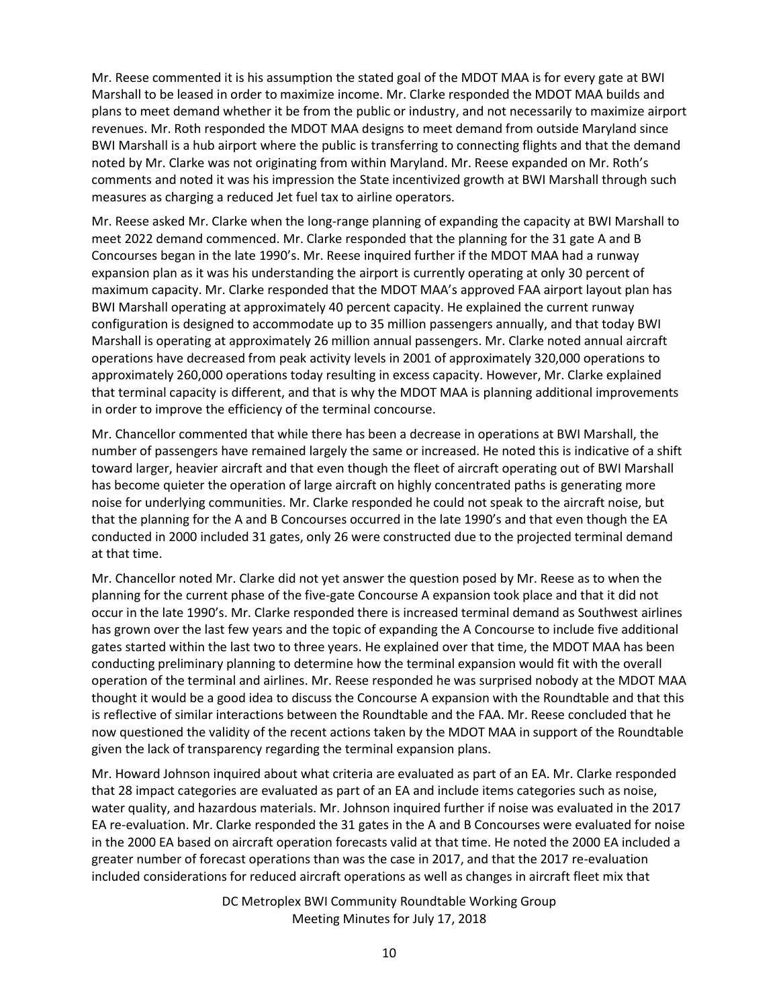Mr. Reese commented it is his assumption the stated goal of the MDOT MAA is for every gate at BWI Marshall to be leased in order to maximize income. Mr. Clarke responded the MDOT MAA builds and plans to meet demand whether it be from the public or industry, and not necessarily to maximize airport revenues. Mr. Roth responded the MDOT MAA designs to meet demand from outside Maryland since BWI Marshall is a hub airport where the public is transferring to connecting flights and that the demand noted by Mr. Clarke was not originating from within Maryland. Mr. Reese expanded on Mr. Roth's comments and noted it was his impression the State incentivized growth at BWI Marshall through such measures as charging a reduced Jet fuel tax to airline operators.

Mr. Reese asked Mr. Clarke when the long-range planning of expanding the capacity at BWI Marshall to meet 2022 demand commenced. Mr. Clarke responded that the planning for the 31 gate A and B Concourses began in the late 1990's. Mr. Reese inquired further if the MDOT MAA had a runway expansion plan as it was his understanding the airport is currently operating at only 30 percent of maximum capacity. Mr. Clarke responded that the MDOT MAA's approved FAA airport layout plan has BWI Marshall operating at approximately 40 percent capacity. He explained the current runway configuration is designed to accommodate up to 35 million passengers annually, and that today BWI Marshall is operating at approximately 26 million annual passengers. Mr. Clarke noted annual aircraft operations have decreased from peak activity levels in 2001 of approximately 320,000 operations to approximately 260,000 operations today resulting in excess capacity. However, Mr. Clarke explained that terminal capacity is different, and that is why the MDOT MAA is planning additional improvements in order to improve the efficiency of the terminal concourse.

Mr. Chancellor commented that while there has been a decrease in operations at BWI Marshall, the number of passengers have remained largely the same or increased. He noted this is indicative of a shift toward larger, heavier aircraft and that even though the fleet of aircraft operating out of BWI Marshall has become quieter the operation of large aircraft on highly concentrated paths is generating more noise for underlying communities. Mr. Clarke responded he could not speak to the aircraft noise, but that the planning for the A and B Concourses occurred in the late 1990's and that even though the EA conducted in 2000 included 31 gates, only 26 were constructed due to the projected terminal demand at that time.

Mr. Chancellor noted Mr. Clarke did not yet answer the question posed by Mr. Reese as to when the planning for the current phase of the five-gate Concourse A expansion took place and that it did not occur in the late 1990's. Mr. Clarke responded there is increased terminal demand as Southwest airlines has grown over the last few years and the topic of expanding the A Concourse to include five additional gates started within the last two to three years. He explained over that time, the MDOT MAA has been conducting preliminary planning to determine how the terminal expansion would fit with the overall operation of the terminal and airlines. Mr. Reese responded he was surprised nobody at the MDOT MAA thought it would be a good idea to discuss the Concourse A expansion with the Roundtable and that this is reflective of similar interactions between the Roundtable and the FAA. Mr. Reese concluded that he now questioned the validity of the recent actions taken by the MDOT MAA in support of the Roundtable given the lack of transparency regarding the terminal expansion plans.

Mr. Howard Johnson inquired about what criteria are evaluated as part of an EA. Mr. Clarke responded that 28 impact categories are evaluated as part of an EA and include items categories such as noise, water quality, and hazardous materials. Mr. Johnson inquired further if noise was evaluated in the 2017 EA re-evaluation. Mr. Clarke responded the 31 gates in the A and B Concourses were evaluated for noise in the 2000 EA based on aircraft operation forecasts valid at that time. He noted the 2000 EA included a greater number of forecast operations than was the case in 2017, and that the 2017 re-evaluation included considerations for reduced aircraft operations as well as changes in aircraft fleet mix that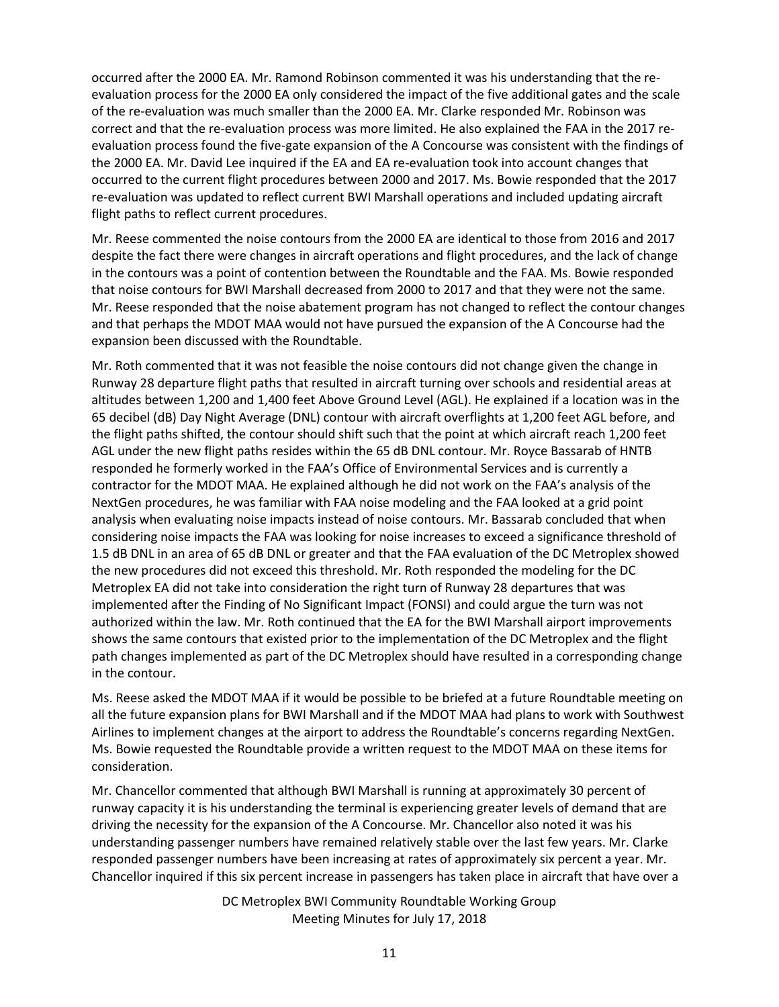occurred after the 2000 EA. Mr. Ramond Robinson commented it was his understanding that the reevaluation process for the 2000 EA only considered the impact of the five additional gates and the scale of the re-evaluation was much smaller than the 2000 EA. Mr. Clarke responded Mr. Robinson was correct and that the re-evaluation process was more limited. He also explained the FAA in the 2017 reevaluation process found the five-gate expansion of the A Concourse was consistent with the findings of the 2000 EA. Mr. David Lee inquired if the EA and EA re-evaluation took into account changes that occurred to the current flight procedures between 2000 and 2017. Ms. Bowie responded that the 2017 re-evaluation was updated to reflect current BWI Marshall operations and included updating aircraft flight paths to reflect current procedures.

Mr. Reese commented the noise contours from the 2000 EA are identical to those from 2016 and 2017 despite the fact there were changes in aircraft operations and flight procedures, and the lack of change in the contours was a point of contention between the Roundtable and the FAA. Ms. Bowie responded that noise contours for BWI Marshall decreased from 2000 to 2017 and that they were not the same. Mr. Reese responded that the noise abatement program has not changed to reflect the contour changes and that perhaps the MDOT MAA would not have pursued the expansion of the A Concourse had the expansion been discussed with the Roundtable.

Mr. Roth commented that it was not feasible the noise contours did not change given the change in Runway 28 departure flight paths that resulted in aircraft turning over schools and residential areas at altitudes between 1,200 and 1,400 feet Above Ground Level (AGL). He explained if a location was in the 65 decibel (dB) Day Night Average (DNL) contour with aircraft overflights at 1,200 feet AGL before, and the flight paths shifted, the contour should shift such that the point at which aircraft reach 1,200 feet AGL under the new flight paths resides within the 65 dB DNL contour. Mr. Royce Bassarab of HNTB responded he formerly worked in the FAA's Office of Environmental Services and is currently a contractor for the MDOT MAA. He explained although he did not work on the FAA's analysis of the NextGen procedures, he was familiar with FAA noise modeling and the FAA looked at a grid point analysis when evaluating noise impacts instead of noise contours. Mr. Bassarab concluded that when considering noise impacts the FAA was looking for noise increases to exceed a significance threshold of 1.5 dB DNL in an area of 65 dB DNL or greater and that the FAA evaluation of the DC Metroplex showed the new procedures did not exceed this threshold. Mr. Roth responded the modeling for the DC Metroplex EA did not take into consideration the right turn of Runway 28 departures that was implemented after the Finding of No Significant Impact (FONSI) and could argue the turn was not authorized within the law. Mr. Roth continued that the EA for the BWI Marshall airport improvements shows the same contours that existed prior to the implementation of the DC Metroplex and the flight path changes implemented as part of the DC Metroplex should have resulted in a corresponding change in the contour.

Ms. Reese asked the MDOT MAA if it would be possible to be briefed at a future Roundtable meeting on all the future expansion plans for BWI Marshall and if the MDOT MAA had plans to work with Southwest Airlines to implement changes at the airport to address the Roundtable's concerns regarding NextGen. Ms. Bowie requested the Roundtable provide a written request to the MDOT MAA on these items for consideration.

Mr. Chancellor commented that although BWI Marshall is running at approximately 30 percent of runway capacity it is his understanding the terminal is experiencing greater levels of demand that are driving the necessity for the expansion of the A Concourse. Mr. Chancellor also noted it was his understanding passenger numbers have remained relatively stable over the last few years. Mr. Clarke responded passenger numbers have been increasing at rates of approximately six percent a year. Mr. Chancellor inquired if this six percent increase in passengers has taken place in aircraft that have over a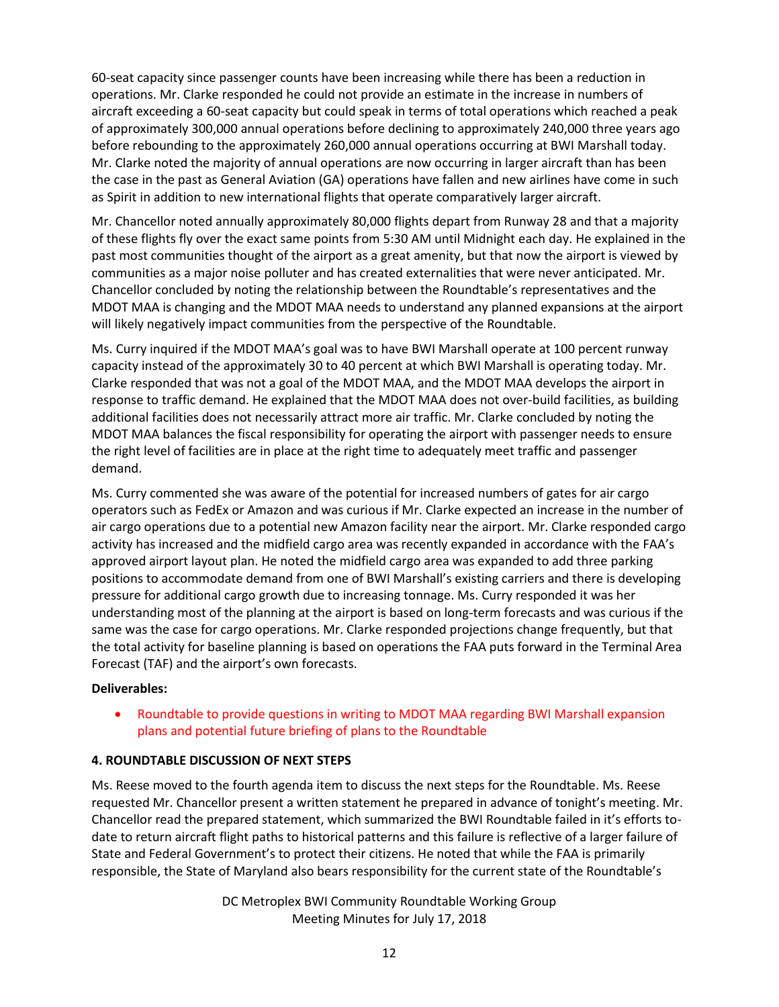60-seat capacity since passenger counts have been increasing while there has been a reduction in operations. Mr. Clarke responded he could not provide an estimate in the increase in numbers of aircraft exceeding a 60-seat capacity but could speak in terms of total operations which reached a peak of approximately 300,000 annual operations before declining to approximately 240,000 three years ago before rebounding to the approximately 260,000 annual operations occurring at BWI Marshall today. Mr. Clarke noted the majority of annual operations are now occurring in larger aircraft than has been the case in the past as General Aviation (GA) operations have fallen and new airlines have come in such as Spirit in addition to new international flights that operate comparatively larger aircraft.

Mr. Chancellor noted annually approximately 80,000 flights depart from Runway 28 and that a majority of these flights fly over the exact same points from 5:30 AM until Midnight each day. He explained in the past most communities thought of the airport as a great amenity, but that now the airport is viewed by communities as a major noise polluter and has created externalities that were never anticipated. Mr. Chancellor concluded by noting the relationship between the Roundtable's representatives and the MDOT MAA is changing and the MDOT MAA needs to understand any planned expansions at the airport will likely negatively impact communities from the perspective of the Roundtable.

Ms. Curry inquired if the MDOT MAA's goal was to have BWI Marshall operate at 100 percent runway capacity instead of the approximately 30 to 40 percent at which BWI Marshall is operating today. Mr. Clarke responded that was not a goal of the MDOT MAA, and the MDOT MAA develops the airport in response to traffic demand. He explained that the MDOT MAA does not over-build facilities, as building additional facilities does not necessarily attract more air traffic. Mr. Clarke concluded by noting the MDOT MAA balances the fiscal responsibility for operating the airport with passenger needs to ensure the right level of facilities are in place at the right time to adequately meet traffic and passenger demand.

Ms. Curry commented she was aware of the potential for increased numbers of gates for air cargo operators such as FedEx or Amazon and was curious if Mr. Clarke expected an increase in the number of air cargo operations due to a potential new Amazon facility near the airport. Mr. Clarke responded cargo activity has increased and the midfield cargo area was recently expanded in accordance with the FAA's approved airport layout plan. He noted the midfield cargo area was expanded to add three parking positions to accommodate demand from one of BWI Marshall's existing carriers and there is developing pressure for additional cargo growth due to increasing tonnage. Ms. Curry responded it was her understanding most of the planning at the airport is based on long-term forecasts and was curious if the same was the case for cargo operations. Mr. Clarke responded projections change frequently, but that the total activity for baseline planning is based on operations the FAA puts forward in the Terminal Area Forecast (TAF) and the airport's own forecasts.

## **Deliverables:**

 Roundtable to provide questions in writing to MDOT MAA regarding BWI Marshall expansion plans and potential future briefing of plans to the Roundtable

# **4. ROUNDTABLE DISCUSSION OF NEXT STEPS**

Ms. Reese moved to the fourth agenda item to discuss the next steps for the Roundtable. Ms. Reese requested Mr. Chancellor present a written statement he prepared in advance of tonight's meeting. Mr. Chancellor read the prepared statement, which summarized the BWI Roundtable failed in it's efforts todate to return aircraft flight paths to historical patterns and this failure is reflective of a larger failure of State and Federal Government's to protect their citizens. He noted that while the FAA is primarily responsible, the State of Maryland also bears responsibility for the current state of the Roundtable's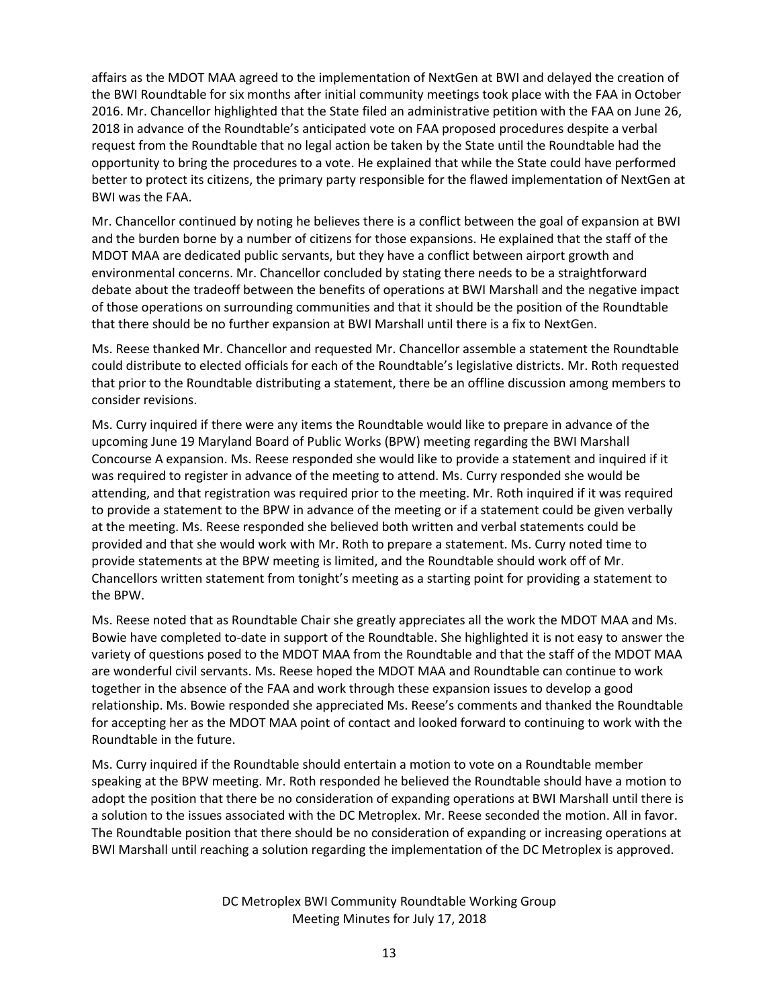affairs as the MDOT MAA agreed to the implementation of NextGen at BWI and delayed the creation of the BWI Roundtable for six months after initial community meetings took place with the FAA in October 2016. Mr. Chancellor highlighted that the State filed an administrative petition with the FAA on June 26, 2018 in advance of the Roundtable's anticipated vote on FAA proposed procedures despite a verbal request from the Roundtable that no legal action be taken by the State until the Roundtable had the opportunity to bring the procedures to a vote. He explained that while the State could have performed better to protect its citizens, the primary party responsible for the flawed implementation of NextGen at BWI was the FAA.

Mr. Chancellor continued by noting he believes there is a conflict between the goal of expansion at BWI and the burden borne by a number of citizens for those expansions. He explained that the staff of the MDOT MAA are dedicated public servants, but they have a conflict between airport growth and environmental concerns. Mr. Chancellor concluded by stating there needs to be a straightforward debate about the tradeoff between the benefits of operations at BWI Marshall and the negative impact of those operations on surrounding communities and that it should be the position of the Roundtable that there should be no further expansion at BWI Marshall until there is a fix to NextGen.

Ms. Reese thanked Mr. Chancellor and requested Mr. Chancellor assemble a statement the Roundtable could distribute to elected officials for each of the Roundtable's legislative districts. Mr. Roth requested that prior to the Roundtable distributing a statement, there be an offline discussion among members to consider revisions.

Ms. Curry inquired if there were any items the Roundtable would like to prepare in advance of the upcoming June 19 Maryland Board of Public Works (BPW) meeting regarding the BWI Marshall Concourse A expansion. Ms. Reese responded she would like to provide a statement and inquired if it was required to register in advance of the meeting to attend. Ms. Curry responded she would be attending, and that registration was required prior to the meeting. Mr. Roth inquired if it was required to provide a statement to the BPW in advance of the meeting or if a statement could be given verbally at the meeting. Ms. Reese responded she believed both written and verbal statements could be provided and that she would work with Mr. Roth to prepare a statement. Ms. Curry noted time to provide statements at the BPW meeting is limited, and the Roundtable should work off of Mr. Chancellors written statement from tonight's meeting as a starting point for providing a statement to the BPW.

Ms. Reese noted that as Roundtable Chair she greatly appreciates all the work the MDOT MAA and Ms. Bowie have completed to-date in support of the Roundtable. She highlighted it is not easy to answer the variety of questions posed to the MDOT MAA from the Roundtable and that the staff of the MDOT MAA are wonderful civil servants. Ms. Reese hoped the MDOT MAA and Roundtable can continue to work together in the absence of the FAA and work through these expansion issues to develop a good relationship. Ms. Bowie responded she appreciated Ms. Reese's comments and thanked the Roundtable for accepting her as the MDOT MAA point of contact and looked forward to continuing to work with the Roundtable in the future.

Ms. Curry inquired if the Roundtable should entertain a motion to vote on a Roundtable member speaking at the BPW meeting. Mr. Roth responded he believed the Roundtable should have a motion to adopt the position that there be no consideration of expanding operations at BWI Marshall until there is a solution to the issues associated with the DC Metroplex. Mr. Reese seconded the motion. All in favor. The Roundtable position that there should be no consideration of expanding or increasing operations at BWI Marshall until reaching a solution regarding the implementation of the DC Metroplex is approved.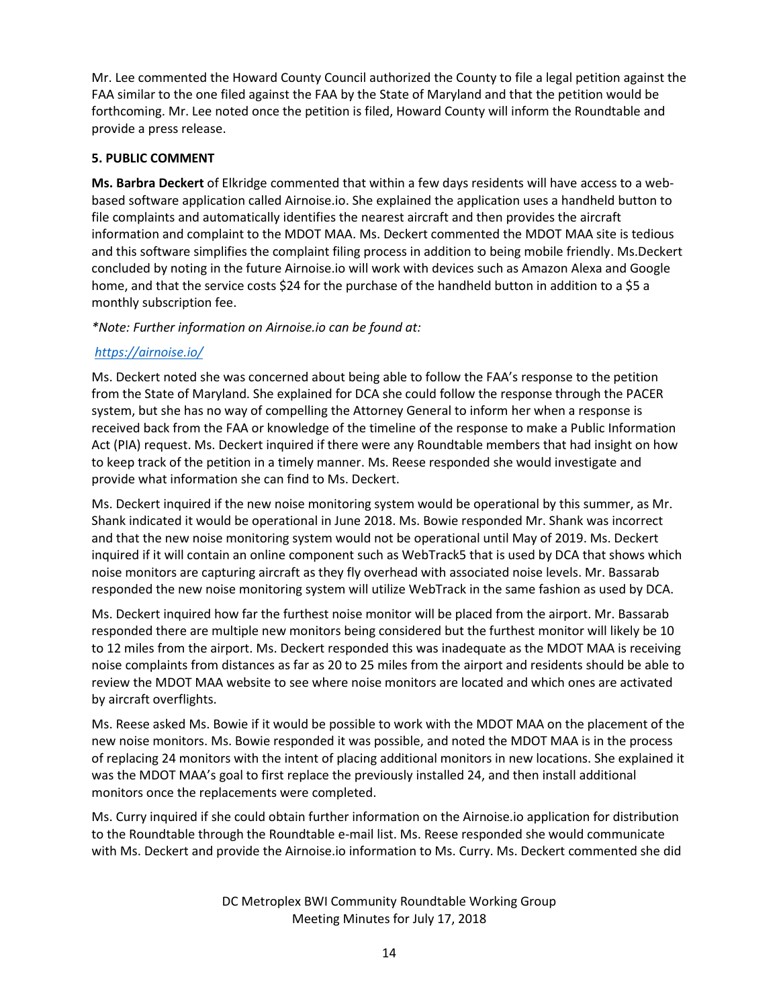Mr. Lee commented the Howard County Council authorized the County to file a legal petition against the FAA similar to the one filed against the FAA by the State of Maryland and that the petition would be forthcoming. Mr. Lee noted once the petition is filed, Howard County will inform the Roundtable and provide a press release.

## **5. PUBLIC COMMENT**

**Ms. Barbra Deckert** of Elkridge commented that within a few days residents will have access to a webbased software application called Airnoise.io. She explained the application uses a handheld button to file complaints and automatically identifies the nearest aircraft and then provides the aircraft information and complaint to the MDOT MAA. Ms. Deckert commented the MDOT MAA site is tedious and this software simplifies the complaint filing process in addition to being mobile friendly. Ms.Deckert concluded by noting in the future Airnoise.io will work with devices such as Amazon Alexa and Google home, and that the service costs \$24 for the purchase of the handheld button in addition to a \$5 a monthly subscription fee.

*\*Note: Further information on Airnoise.io can be found at:*

# *<https://airnoise.io/>*

Ms. Deckert noted she was concerned about being able to follow the FAA's response to the petition from the State of Maryland. She explained for DCA she could follow the response through the PACER system, but she has no way of compelling the Attorney General to inform her when a response is received back from the FAA or knowledge of the timeline of the response to make a Public Information Act (PIA) request. Ms. Deckert inquired if there were any Roundtable members that had insight on how to keep track of the petition in a timely manner. Ms. Reese responded she would investigate and provide what information she can find to Ms. Deckert.

Ms. Deckert inquired if the new noise monitoring system would be operational by this summer, as Mr. Shank indicated it would be operational in June 2018. Ms. Bowie responded Mr. Shank was incorrect and that the new noise monitoring system would not be operational until May of 2019. Ms. Deckert inquired if it will contain an online component such as WebTrack5 that is used by DCA that shows which noise monitors are capturing aircraft as they fly overhead with associated noise levels. Mr. Bassarab responded the new noise monitoring system will utilize WebTrack in the same fashion as used by DCA.

Ms. Deckert inquired how far the furthest noise monitor will be placed from the airport. Mr. Bassarab responded there are multiple new monitors being considered but the furthest monitor will likely be 10 to 12 miles from the airport. Ms. Deckert responded this was inadequate as the MDOT MAA is receiving noise complaints from distances as far as 20 to 25 miles from the airport and residents should be able to review the MDOT MAA website to see where noise monitors are located and which ones are activated by aircraft overflights.

Ms. Reese asked Ms. Bowie if it would be possible to work with the MDOT MAA on the placement of the new noise monitors. Ms. Bowie responded it was possible, and noted the MDOT MAA is in the process of replacing 24 monitors with the intent of placing additional monitors in new locations. She explained it was the MDOT MAA's goal to first replace the previously installed 24, and then install additional monitors once the replacements were completed.

Ms. Curry inquired if she could obtain further information on the Airnoise.io application for distribution to the Roundtable through the Roundtable e-mail list. Ms. Reese responded she would communicate with Ms. Deckert and provide the Airnoise.io information to Ms. Curry. Ms. Deckert commented she did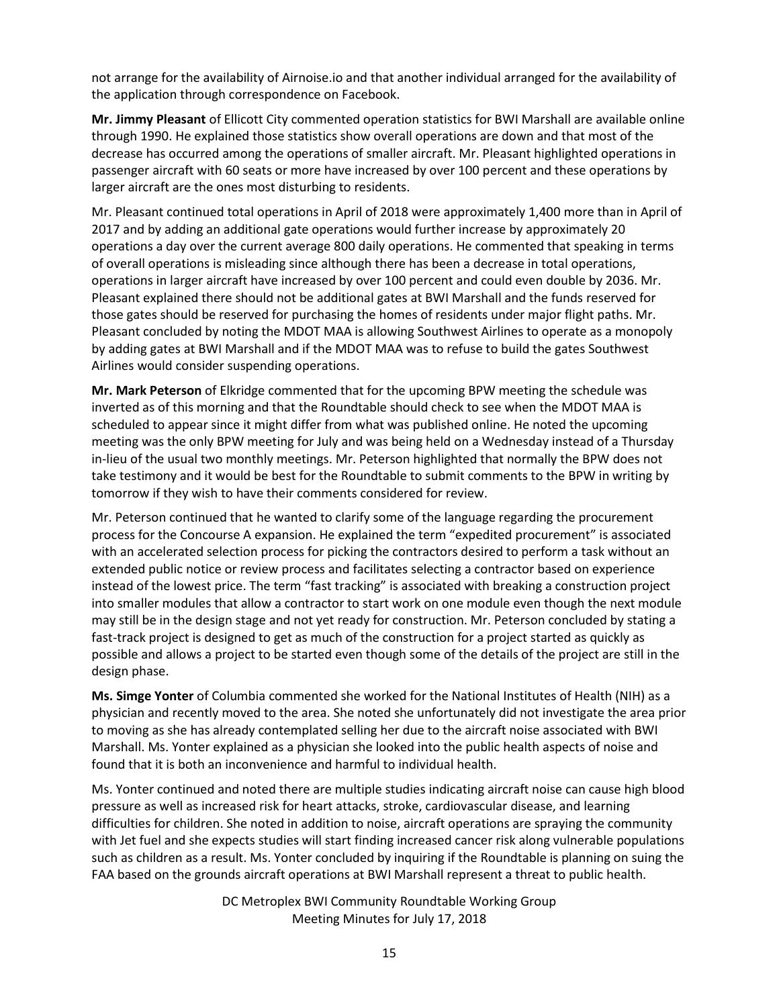not arrange for the availability of Airnoise.io and that another individual arranged for the availability of the application through correspondence on Facebook.

**Mr. Jimmy Pleasant** of Ellicott City commented operation statistics for BWI Marshall are available online through 1990. He explained those statistics show overall operations are down and that most of the decrease has occurred among the operations of smaller aircraft. Mr. Pleasant highlighted operations in passenger aircraft with 60 seats or more have increased by over 100 percent and these operations by larger aircraft are the ones most disturbing to residents.

Mr. Pleasant continued total operations in April of 2018 were approximately 1,400 more than in April of 2017 and by adding an additional gate operations would further increase by approximately 20 operations a day over the current average 800 daily operations. He commented that speaking in terms of overall operations is misleading since although there has been a decrease in total operations, operations in larger aircraft have increased by over 100 percent and could even double by 2036. Mr. Pleasant explained there should not be additional gates at BWI Marshall and the funds reserved for those gates should be reserved for purchasing the homes of residents under major flight paths. Mr. Pleasant concluded by noting the MDOT MAA is allowing Southwest Airlines to operate as a monopoly by adding gates at BWI Marshall and if the MDOT MAA was to refuse to build the gates Southwest Airlines would consider suspending operations.

**Mr. Mark Peterson** of Elkridge commented that for the upcoming BPW meeting the schedule was inverted as of this morning and that the Roundtable should check to see when the MDOT MAA is scheduled to appear since it might differ from what was published online. He noted the upcoming meeting was the only BPW meeting for July and was being held on a Wednesday instead of a Thursday in-lieu of the usual two monthly meetings. Mr. Peterson highlighted that normally the BPW does not take testimony and it would be best for the Roundtable to submit comments to the BPW in writing by tomorrow if they wish to have their comments considered for review.

Mr. Peterson continued that he wanted to clarify some of the language regarding the procurement process for the Concourse A expansion. He explained the term "expedited procurement" is associated with an accelerated selection process for picking the contractors desired to perform a task without an extended public notice or review process and facilitates selecting a contractor based on experience instead of the lowest price. The term "fast tracking" is associated with breaking a construction project into smaller modules that allow a contractor to start work on one module even though the next module may still be in the design stage and not yet ready for construction. Mr. Peterson concluded by stating a fast-track project is designed to get as much of the construction for a project started as quickly as possible and allows a project to be started even though some of the details of the project are still in the design phase.

**Ms. Simge Yonter** of Columbia commented she worked for the National Institutes of Health (NIH) as a physician and recently moved to the area. She noted she unfortunately did not investigate the area prior to moving as she has already contemplated selling her due to the aircraft noise associated with BWI Marshall. Ms. Yonter explained as a physician she looked into the public health aspects of noise and found that it is both an inconvenience and harmful to individual health.

Ms. Yonter continued and noted there are multiple studies indicating aircraft noise can cause high blood pressure as well as increased risk for heart attacks, stroke, cardiovascular disease, and learning difficulties for children. She noted in addition to noise, aircraft operations are spraying the community with Jet fuel and she expects studies will start finding increased cancer risk along vulnerable populations such as children as a result. Ms. Yonter concluded by inquiring if the Roundtable is planning on suing the FAA based on the grounds aircraft operations at BWI Marshall represent a threat to public health.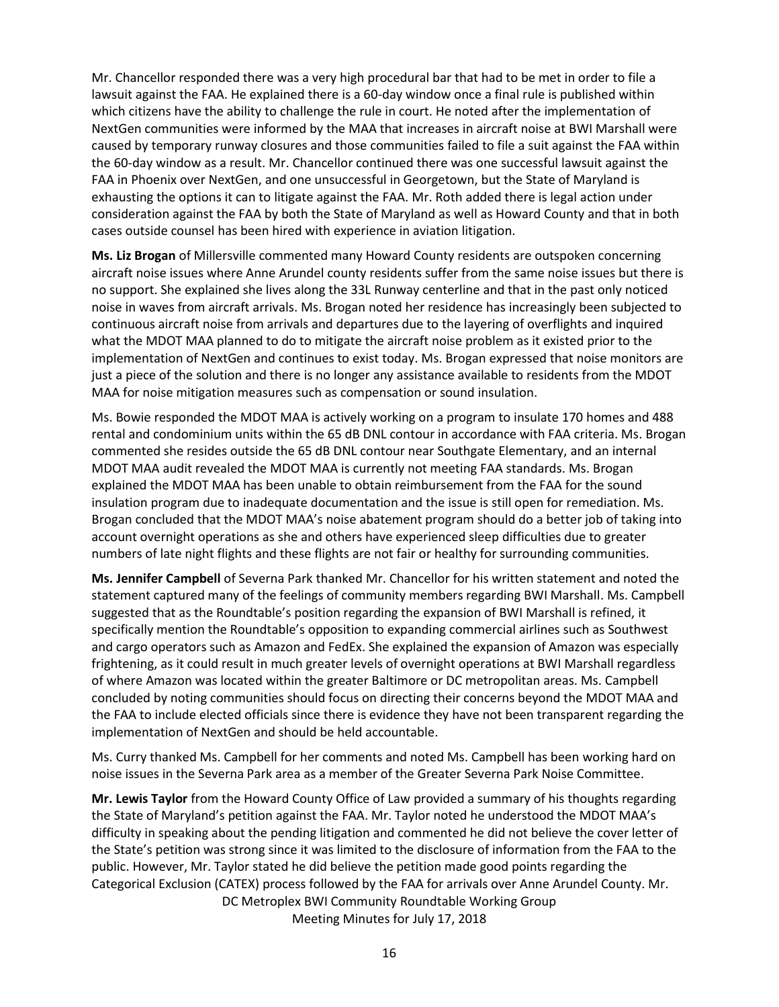Mr. Chancellor responded there was a very high procedural bar that had to be met in order to file a lawsuit against the FAA. He explained there is a 60-day window once a final rule is published within which citizens have the ability to challenge the rule in court. He noted after the implementation of NextGen communities were informed by the MAA that increases in aircraft noise at BWI Marshall were caused by temporary runway closures and those communities failed to file a suit against the FAA within the 60-day window as a result. Mr. Chancellor continued there was one successful lawsuit against the FAA in Phoenix over NextGen, and one unsuccessful in Georgetown, but the State of Maryland is exhausting the options it can to litigate against the FAA. Mr. Roth added there is legal action under consideration against the FAA by both the State of Maryland as well as Howard County and that in both cases outside counsel has been hired with experience in aviation litigation.

**Ms. Liz Brogan** of Millersville commented many Howard County residents are outspoken concerning aircraft noise issues where Anne Arundel county residents suffer from the same noise issues but there is no support. She explained she lives along the 33L Runway centerline and that in the past only noticed noise in waves from aircraft arrivals. Ms. Brogan noted her residence has increasingly been subjected to continuous aircraft noise from arrivals and departures due to the layering of overflights and inquired what the MDOT MAA planned to do to mitigate the aircraft noise problem as it existed prior to the implementation of NextGen and continues to exist today. Ms. Brogan expressed that noise monitors are just a piece of the solution and there is no longer any assistance available to residents from the MDOT MAA for noise mitigation measures such as compensation or sound insulation.

Ms. Bowie responded the MDOT MAA is actively working on a program to insulate 170 homes and 488 rental and condominium units within the 65 dB DNL contour in accordance with FAA criteria. Ms. Brogan commented she resides outside the 65 dB DNL contour near Southgate Elementary, and an internal MDOT MAA audit revealed the MDOT MAA is currently not meeting FAA standards. Ms. Brogan explained the MDOT MAA has been unable to obtain reimbursement from the FAA for the sound insulation program due to inadequate documentation and the issue is still open for remediation. Ms. Brogan concluded that the MDOT MAA's noise abatement program should do a better job of taking into account overnight operations as she and others have experienced sleep difficulties due to greater numbers of late night flights and these flights are not fair or healthy for surrounding communities.

**Ms. Jennifer Campbell** of Severna Park thanked Mr. Chancellor for his written statement and noted the statement captured many of the feelings of community members regarding BWI Marshall. Ms. Campbell suggested that as the Roundtable's position regarding the expansion of BWI Marshall is refined, it specifically mention the Roundtable's opposition to expanding commercial airlines such as Southwest and cargo operators such as Amazon and FedEx. She explained the expansion of Amazon was especially frightening, as it could result in much greater levels of overnight operations at BWI Marshall regardless of where Amazon was located within the greater Baltimore or DC metropolitan areas. Ms. Campbell concluded by noting communities should focus on directing their concerns beyond the MDOT MAA and the FAA to include elected officials since there is evidence they have not been transparent regarding the implementation of NextGen and should be held accountable.

Ms. Curry thanked Ms. Campbell for her comments and noted Ms. Campbell has been working hard on noise issues in the Severna Park area as a member of the Greater Severna Park Noise Committee.

DC Metroplex BWI Community Roundtable Working Group Meeting Minutes for July 17, 2018 **Mr. Lewis Taylor** from the Howard County Office of Law provided a summary of his thoughts regarding the State of Maryland's petition against the FAA. Mr. Taylor noted he understood the MDOT MAA's difficulty in speaking about the pending litigation and commented he did not believe the cover letter of the State's petition was strong since it was limited to the disclosure of information from the FAA to the public. However, Mr. Taylor stated he did believe the petition made good points regarding the Categorical Exclusion (CATEX) process followed by the FAA for arrivals over Anne Arundel County. Mr.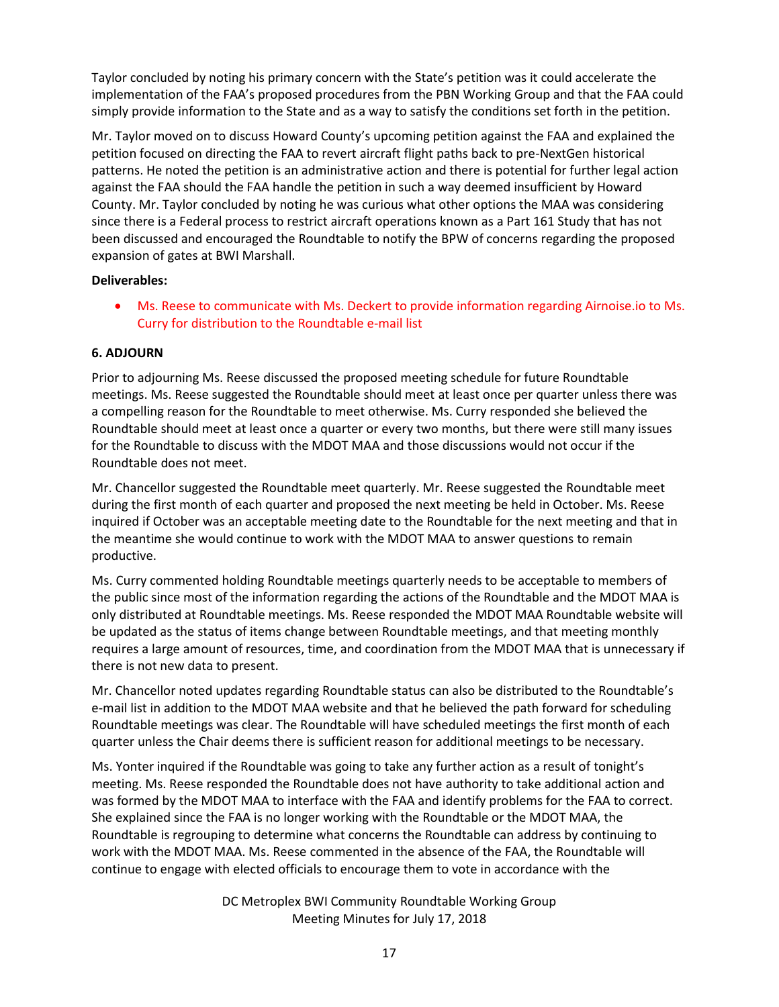Taylor concluded by noting his primary concern with the State's petition was it could accelerate the implementation of the FAA's proposed procedures from the PBN Working Group and that the FAA could simply provide information to the State and as a way to satisfy the conditions set forth in the petition.

Mr. Taylor moved on to discuss Howard County's upcoming petition against the FAA and explained the petition focused on directing the FAA to revert aircraft flight paths back to pre-NextGen historical patterns. He noted the petition is an administrative action and there is potential for further legal action against the FAA should the FAA handle the petition in such a way deemed insufficient by Howard County. Mr. Taylor concluded by noting he was curious what other options the MAA was considering since there is a Federal process to restrict aircraft operations known as a Part 161 Study that has not been discussed and encouraged the Roundtable to notify the BPW of concerns regarding the proposed expansion of gates at BWI Marshall.

## **Deliverables:**

 Ms. Reese to communicate with Ms. Deckert to provide information regarding Airnoise.io to Ms. Curry for distribution to the Roundtable e-mail list

## **6. ADJOURN**

Prior to adjourning Ms. Reese discussed the proposed meeting schedule for future Roundtable meetings. Ms. Reese suggested the Roundtable should meet at least once per quarter unless there was a compelling reason for the Roundtable to meet otherwise. Ms. Curry responded she believed the Roundtable should meet at least once a quarter or every two months, but there were still many issues for the Roundtable to discuss with the MDOT MAA and those discussions would not occur if the Roundtable does not meet.

Mr. Chancellor suggested the Roundtable meet quarterly. Mr. Reese suggested the Roundtable meet during the first month of each quarter and proposed the next meeting be held in October. Ms. Reese inquired if October was an acceptable meeting date to the Roundtable for the next meeting and that in the meantime she would continue to work with the MDOT MAA to answer questions to remain productive.

Ms. Curry commented holding Roundtable meetings quarterly needs to be acceptable to members of the public since most of the information regarding the actions of the Roundtable and the MDOT MAA is only distributed at Roundtable meetings. Ms. Reese responded the MDOT MAA Roundtable website will be updated as the status of items change between Roundtable meetings, and that meeting monthly requires a large amount of resources, time, and coordination from the MDOT MAA that is unnecessary if there is not new data to present.

Mr. Chancellor noted updates regarding Roundtable status can also be distributed to the Roundtable's e-mail list in addition to the MDOT MAA website and that he believed the path forward for scheduling Roundtable meetings was clear. The Roundtable will have scheduled meetings the first month of each quarter unless the Chair deems there is sufficient reason for additional meetings to be necessary.

Ms. Yonter inquired if the Roundtable was going to take any further action as a result of tonight's meeting. Ms. Reese responded the Roundtable does not have authority to take additional action and was formed by the MDOT MAA to interface with the FAA and identify problems for the FAA to correct. She explained since the FAA is no longer working with the Roundtable or the MDOT MAA, the Roundtable is regrouping to determine what concerns the Roundtable can address by continuing to work with the MDOT MAA. Ms. Reese commented in the absence of the FAA, the Roundtable will continue to engage with elected officials to encourage them to vote in accordance with the